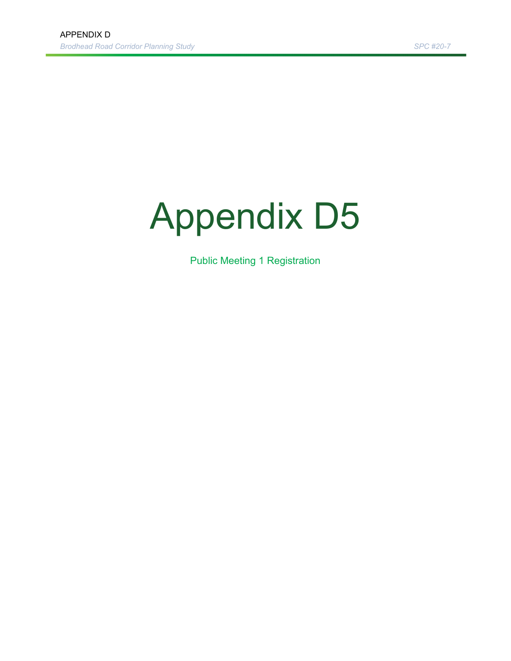## Appendix D5

Public Meeting 1 Registration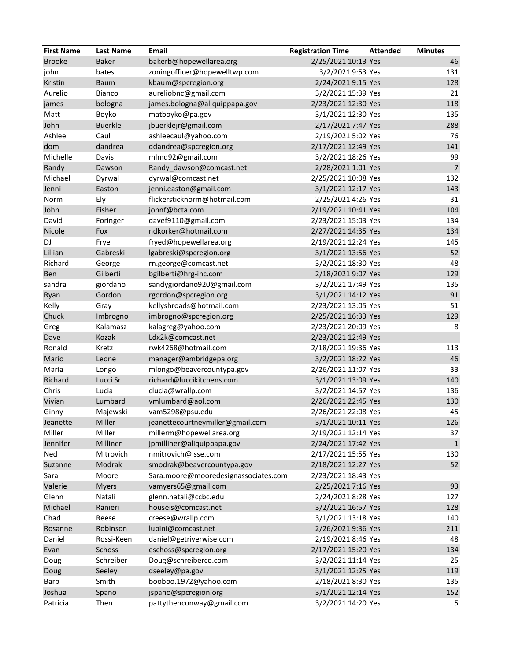| <b>First Name</b> | <b>Last Name</b> | Email                                | <b>Registration Time</b> | <b>Attended</b> | <b>Minutes</b> |
|-------------------|------------------|--------------------------------------|--------------------------|-----------------|----------------|
| <b>Brooke</b>     | <b>Baker</b>     | bakerb@hopewellarea.org              | 2/25/2021 10:13 Yes      |                 | 46             |
| john              | bates            | zoningofficer@hopewelltwp.com        | 3/2/2021 9:53 Yes        |                 | 131            |
| Kristin           | Baum             | kbaum@spcregion.org                  | 2/24/2021 9:15 Yes       |                 | 128            |
| Aurelio           | <b>Bianco</b>    | aureliobnc@gmail.com                 | 3/2/2021 15:39 Yes       |                 | 21             |
| james             | bologna          | james.bologna@aliquippapa.gov        | 2/23/2021 12:30 Yes      |                 | 118            |
| Matt              | Boyko            | matboyko@pa.gov                      | 3/1/2021 12:30 Yes       |                 | 135            |
| John              | <b>Buerkle</b>   | jbuerklejr@gmail.com                 | 2/17/2021 7:47 Yes       |                 | 288            |
| Ashlee            | Caul             | ashleecaul@yahoo.com                 | 2/19/2021 5:02 Yes       |                 | 76             |
| dom               | dandrea          | ddandrea@spcregion.org               | 2/17/2021 12:49 Yes      |                 | 141            |
| Michelle          | Davis            | mlmd92@gmail.com                     | 3/2/2021 18:26 Yes       |                 | 99             |
| Randy             | Dawson           | Randy_dawson@comcast.net             | 2/28/2021 1:01 Yes       |                 | $\overline{7}$ |
| Michael           | Dyrwal           | dyrwal@comcast.net                   | 2/25/2021 10:08 Yes      |                 | 132            |
| Jenni             | Easton           | jenni.easton@gmail.com               | 3/1/2021 12:17 Yes       |                 | 143            |
| Norm              | Ely              | flickersticknorm@hotmail.com         | 2/25/2021 4:26 Yes       |                 | 31             |
| John              | Fisher           | johnf@bcta.com                       | 2/19/2021 10:41 Yes      |                 | 104            |
| David             | Foringer         | davef9110@gmail.com                  | 2/23/2021 15:03 Yes      |                 | 134            |
| Nicole            | Fox              | ndkorker@hotmail.com                 | 2/27/2021 14:35 Yes      |                 | 134            |
| <b>DJ</b>         | Frye             | fryed@hopewellarea.org               | 2/19/2021 12:24 Yes      |                 | 145            |
| Lillian           | Gabreski         | lgabreski@spcregion.org              | 3/1/2021 13:56 Yes       |                 | 52             |
| Richard           | George           | rn.george@comcast.net                | 3/2/2021 18:30 Yes       |                 | 48             |
| Ben               | Gilberti         | bgilberti@hrg-inc.com                | 2/18/2021 9:07 Yes       |                 | 129            |
| sandra            | giordano         | sandygiordano920@gmail.com           | 3/2/2021 17:49 Yes       |                 | 135            |
| Ryan              | Gordon           | rgordon@spcregion.org                | 3/1/2021 14:12 Yes       |                 | 91             |
| Kelly             | Gray             | kellyshroads@hotmail.com             | 2/23/2021 13:05 Yes      |                 | 51             |
| Chuck             | Imbrogno         | imbrogno@spcregion.org               | 2/25/2021 16:33 Yes      |                 | 129            |
| Greg              | Kalamasz         | kalagreg@yahoo.com                   | 2/23/2021 20:09 Yes      |                 | 8              |
| Dave              | Kozak            | Ldx2k@comcast.net                    | 2/23/2021 12:49 Yes      |                 |                |
| Ronald            | Kretz            | rwk4268@hotmail.com                  | 2/18/2021 19:36 Yes      |                 | 113            |
| Mario             | Leone            | manager@ambridgepa.org               | 3/2/2021 18:22 Yes       |                 | 46             |
| Maria             | Longo            | mlongo@beavercountypa.gov            | 2/26/2021 11:07 Yes      |                 | 33             |
| Richard           | Lucci Sr.        | richard@luccikitchens.com            | 3/1/2021 13:09 Yes       |                 | 140            |
| Chris             | Lucia            | clucia@wrallp.com                    | 3/2/2021 14:57 Yes       |                 | 136            |
| Vivian            | Lumbard          | vmlumbard@aol.com                    | 2/26/2021 22:45 Yes      |                 | 130            |
| Ginny             | Majewski         | vam5298@psu.edu                      | 2/26/2021 22:08 Yes      |                 | 45             |
| Jeanette          | Miller           | jeanettecourtneymiller@gmail.com     | 3/1/2021 10:11 Yes       |                 | 126            |
| Miller            | Miller           | millerm@hopewellarea.org             | 2/19/2021 12:14 Yes      |                 | 37             |
| Jennifer          | Milliner         | jpmilliner@aliquippapa.gov           | 2/24/2021 17:42 Yes      |                 | $\mathbf{1}$   |
| Ned               | Mitrovich        | nmitrovich@lsse.com                  | 2/17/2021 15:55 Yes      |                 | 130            |
| Suzanne           | Modrak           | smodrak@beavercountypa.gov           | 2/18/2021 12:27 Yes      |                 | 52             |
| Sara              | Moore            | Sara.moore@mooredesignassociates.com | 2/23/2021 18:43 Yes      |                 |                |
| Valerie           | <b>Myers</b>     | vamyers65@gmail.com                  | 2/25/2021 7:16 Yes       |                 | 93             |
|                   | Natali           | glenn.natali@ccbc.edu                | 2/24/2021 8:28 Yes       |                 | 127            |
| Glenn<br>Michael  | Ranieri          | houseis@comcast.net                  | 3/2/2021 16:57 Yes       |                 | 128            |
|                   |                  |                                      | 3/1/2021 13:18 Yes       |                 |                |
| Chad              | Reese            | creese@wrallp.com                    |                          |                 | 140            |
| Rosanne           | Robinson         | lupini@comcast.net                   | 2/26/2021 9:36 Yes       |                 | 211            |
| Daniel            | Rossi-Keen       | daniel@getriverwise.com              | 2/19/2021 8:46 Yes       |                 | 48             |
| Evan              | Schoss           | eschoss@spcregion.org                | 2/17/2021 15:20 Yes      |                 | 134            |
| Doug              | Schreiber        | Doug@schreiberco.com                 | 3/2/2021 11:14 Yes       |                 | 25             |
| Doug              | Seeley           | dseeley@pa.gov                       | 3/1/2021 12:25 Yes       |                 | 119            |
| Barb              | Smith            | booboo.1972@yahoo.com                | 2/18/2021 8:30 Yes       |                 | 135            |
| Joshua            | Spano            | jspano@spcregion.org                 | 3/1/2021 12:14 Yes       |                 | 152            |
| Patricia          | Then             | pattythenconway@gmail.com            | 3/2/2021 14:20 Yes       |                 | 5              |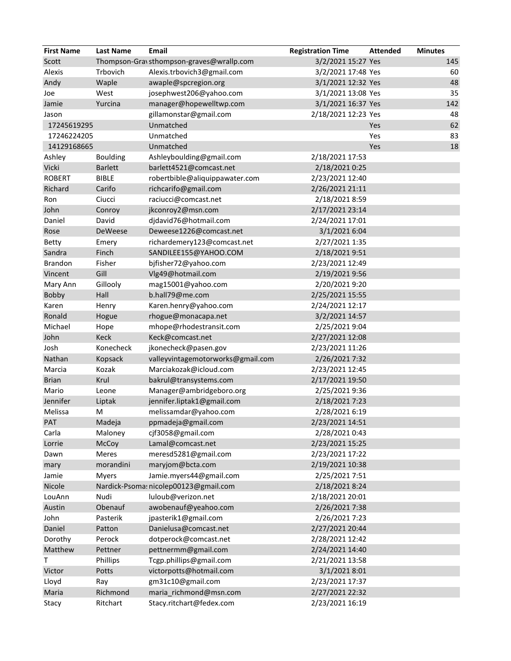| <b>First Name</b> | <b>Last Name</b> | Email                                    | <b>Registration Time</b> | <b>Attended</b> | <b>Minutes</b> |
|-------------------|------------------|------------------------------------------|--------------------------|-----------------|----------------|
| Scott             |                  | Thompson-Gravsthompson-graves@wrallp.com | 3/2/2021 15:27 Yes       |                 | 145            |
| Alexis            | Trbovich         | Alexis.trbovich3@gmail.com               | 3/2/2021 17:48 Yes       |                 | 60             |
| Andy              | Waple            | awaple@spcregion.org                     | 3/1/2021 12:32 Yes       |                 | 48             |
| Joe               | West             | josephwest206@yahoo.com                  | 3/1/2021 13:08 Yes       |                 | 35             |
| Jamie             | Yurcina          | manager@hopewelltwp.com                  | 3/1/2021 16:37 Yes       |                 | 142            |
| Jason             |                  | gillamonstar@gmail.com                   | 2/18/2021 12:23 Yes      |                 | 48             |
| 17245619295       |                  | Unmatched                                |                          | Yes             | 62             |
| 17246224205       |                  | Unmatched                                |                          | Yes             | 83             |
| 14129168665       |                  | Unmatched                                |                          | Yes             | 18             |
| Ashley            | <b>Boulding</b>  | Ashleyboulding@gmail.com                 | 2/18/2021 17:53          |                 |                |
| Vicki             | <b>Barlett</b>   | barlett4521@comcast.net                  | 2/18/2021 0:25           |                 |                |
| <b>ROBERT</b>     | <b>BIBLE</b>     | robertbible@aliquippawater.com           | 2/23/2021 12:40          |                 |                |
| Richard           | Carifo           | richcarifo@gmail.com                     | 2/26/2021 21:11          |                 |                |
| Ron               | Ciucci           | raciucci@comcast.net                     | 2/18/2021 8:59           |                 |                |
| John              | Conroy           | jkconroy2@msn.com                        | 2/17/2021 23:14          |                 |                |
| Daniel            | David            | djdavid76@hotmail.com                    | 2/24/2021 17:01          |                 |                |
| Rose              | <b>DeWeese</b>   | Deweese1226@comcast.net                  | 3/1/2021 6:04            |                 |                |
| <b>Betty</b>      | Emery            | richardemery123@comcast.net              | 2/27/2021 1:35           |                 |                |
| Sandra            | Finch            | SANDILEE155@YAHOO.COM                    | 2/18/2021 9:51           |                 |                |
| <b>Brandon</b>    | Fisher           | bjfisher72@yahoo.com                     | 2/23/2021 12:49          |                 |                |
| Vincent           | Gill             | Vlg49@hotmail.com                        | 2/19/2021 9:56           |                 |                |
| Mary Ann          | Gillooly         | mag15001@yahoo.com                       | 2/20/2021 9:20           |                 |                |
| Bobby             | Hall             | b.hall79@me.com                          | 2/25/2021 15:55          |                 |                |
| Karen             | Henry            | Karen.henry@yahoo.com                    | 2/24/2021 12:17          |                 |                |
| Ronald            | Hogue            | rhogue@monacapa.net                      | 3/2/2021 14:57           |                 |                |
| Michael           | Hope             | mhope@rhodestransit.com                  | 2/25/2021 9:04           |                 |                |
| John              | Keck             | Keck@comcast.net                         | 2/27/2021 12:08          |                 |                |
| Josh              | Konecheck        | jkonecheck@pasen.gov                     | 2/23/2021 11:26          |                 |                |
| Nathan            | Kopsack          | valleyvintagemotorworks@gmail.com        | 2/26/2021 7:32           |                 |                |
| Marcia            | Kozak            | Marciakozak@icloud.com                   | 2/23/2021 12:45          |                 |                |
| <b>Brian</b>      | Krul             | bakrul@transystems.com                   | 2/17/2021 19:50          |                 |                |
| Mario             | Leone            | Manager@ambridgeboro.org                 | 2/25/2021 9:36           |                 |                |
| Jennifer          | Liptak           | jennifer.liptak1@gmail.com               | 2/18/2021 7:23           |                 |                |
| Melissa           | M                | melissamdar@yahoo.com                    | 2/28/2021 6:19           |                 |                |
| PAT               | Madeja           | ppmadeja@gmail.com                       | 2/23/2021 14:51          |                 |                |
| Carla             | Maloney          | cjf3058@gmail.com                        | 2/28/2021 0:43           |                 |                |
| Lorrie            | McCoy            | Lamal@comcast.net                        | 2/23/2021 15:25          |                 |                |
| Dawn              | Meres            | meresd5281@gmail.com                     | 2/23/2021 17:22          |                 |                |
| mary              | morandini        | maryjom@bcta.com                         | 2/19/2021 10:38          |                 |                |
| Jamie             | <b>Myers</b>     | Jamie.myers44@gmail.com                  | 2/25/2021 7:51           |                 |                |
| Nicole            |                  | Nardick-Psoma: nicolep00123@gmail.com    | 2/18/2021 8:24           |                 |                |
| LouAnn            | Nudi             | luloub@verizon.net                       | 2/18/2021 20:01          |                 |                |
| Austin            | Obenauf          | awobenauf@yeahoo.com                     | 2/26/2021 7:38           |                 |                |
| John              | Pasterik         | jpasterik1@gmail.com                     | 2/26/2021 7:23           |                 |                |
| Daniel            | Patton           | Danielusa@comcast.net                    | 2/27/2021 20:44          |                 |                |
| Dorothy           | Perock           | dotperock@comcast.net                    | 2/28/2021 12:42          |                 |                |
| Matthew           | Pettner          | pettnermm@gmail.com                      | 2/24/2021 14:40          |                 |                |
| Τ                 | Phillips         | Tcgp.phillips@gmail.com                  | 2/21/2021 13:58          |                 |                |
| Victor            | Potts            | victorpotts@hotmail.com                  | 3/1/2021 8:01            |                 |                |
| Lloyd             |                  | gm31c10@gmail.com                        | 2/23/2021 17:37          |                 |                |
| Maria             | Ray<br>Richmond  | maria_richmond@msn.com                   | 2/27/2021 22:32          |                 |                |
|                   | Ritchart         |                                          |                          |                 |                |
| Stacy             |                  | Stacy.ritchart@fedex.com                 | 2/23/2021 16:19          |                 |                |